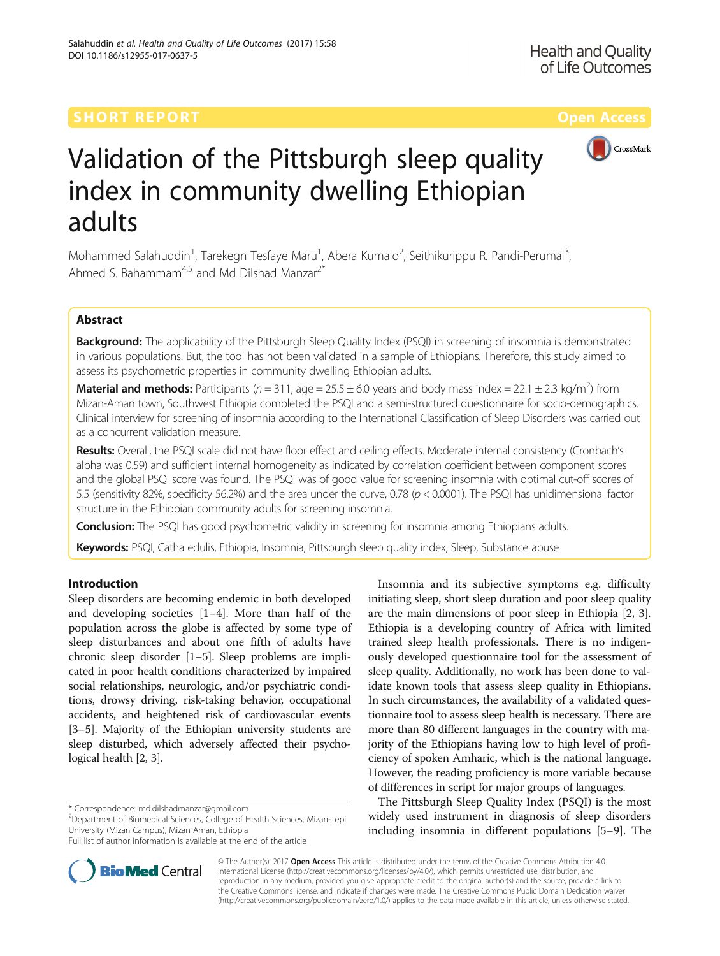

# Validation of the Pittsburgh sleep quality index in community dwelling Ethiopian adults

Mohammed Salahuddin<sup>1</sup>, Tarekegn Tesfaye Maru<sup>1</sup>, Abera Kumalo<sup>2</sup>, Seithikurippu R. Pandi-Perumal<sup>3</sup> , Ahmed S. Bahammam<sup>4,5</sup> and Md Dilshad Manzar<sup>2\*</sup>

# Abstract

Background: The applicability of the Pittsburgh Sleep Quality Index (PSQI) in screening of insomnia is demonstrated in various populations. But, the tool has not been validated in a sample of Ethiopians. Therefore, this study aimed to assess its psychometric properties in community dwelling Ethiopian adults.

Material and methods: Participants ( $n = 311$ , age = 25.5  $\pm$  6.0 years and body mass index = 22.1  $\pm$  2.3 kg/m<sup>2</sup>) from Mizan-Aman town, Southwest Ethiopia completed the PSQI and a semi-structured questionnaire for socio-demographics. Clinical interview for screening of insomnia according to the International Classification of Sleep Disorders was carried out as a concurrent validation measure.

Results: Overall, the PSQI scale did not have floor effect and ceiling effects. Moderate internal consistency (Cronbach's alpha was 0.59) and sufficient internal homogeneity as indicated by correlation coefficient between component scores and the global PSQI score was found. The PSQI was of good value for screening insomnia with optimal cut-off scores of 5.5 (sensitivity 82%, specificity 56.2%) and the area under the curve, 0.78 (p < 0.0001). The PSQI has unidimensional factor structure in the Ethiopian community adults for screening insomnia.

**Conclusion:** The PSQI has good psychometric validity in screening for insomnia among Ethiopians adults.

Keywords: PSQI, Catha edulis, Ethiopia, Insomnia, Pittsburgh sleep quality index, Sleep, Substance abuse

# Introduction

Sleep disorders are becoming endemic in both developed and developing societies [\[1](#page-6-0)–[4\]](#page-6-0). More than half of the population across the globe is affected by some type of sleep disturbances and about one fifth of adults have chronic sleep disorder [[1](#page-6-0)–[5](#page-6-0)]. Sleep problems are implicated in poor health conditions characterized by impaired social relationships, neurologic, and/or psychiatric conditions, drowsy driving, risk-taking behavior, occupational accidents, and heightened risk of cardiovascular events [[3](#page-6-0)–[5](#page-6-0)]. Majority of the Ethiopian university students are sleep disturbed, which adversely affected their psychological health [\[2](#page-6-0), [3\]](#page-6-0).



The Pittsburgh Sleep Quality Index (PSQI) is the most widely used instrument in diagnosis of sleep disorders including insomnia in different populations [[5](#page-6-0)–[9\]](#page-6-0). The



© The Author(s). 2017 **Open Access** This article is distributed under the terms of the Creative Commons Attribution 4.0 International License [\(http://creativecommons.org/licenses/by/4.0/](http://creativecommons.org/licenses/by/4.0/)), which permits unrestricted use, distribution, and reproduction in any medium, provided you give appropriate credit to the original author(s) and the source, provide a link to the Creative Commons license, and indicate if changes were made. The Creative Commons Public Domain Dedication waiver [\(http://creativecommons.org/publicdomain/zero/1.0/](http://creativecommons.org/publicdomain/zero/1.0/)) applies to the data made available in this article, unless otherwise stated.

<sup>\*</sup> Correspondence: [md.dilshadmanzar@gmail.com](mailto:md.dilshadmanzar@gmail.com) <sup>2</sup>

<sup>&</sup>lt;sup>2</sup>Department of Biomedical Sciences, College of Health Sciences, Mizan-Tepi University (Mizan Campus), Mizan Aman, Ethiopia

Full list of author information is available at the end of the article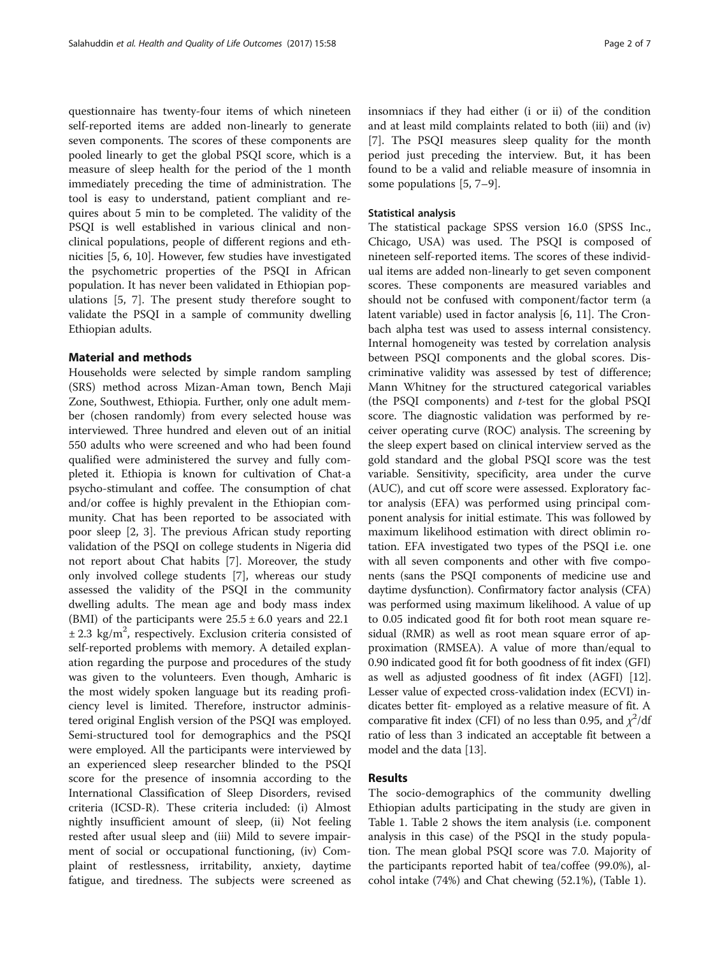questionnaire has twenty-four items of which nineteen self-reported items are added non-linearly to generate seven components. The scores of these components are pooled linearly to get the global PSQI score, which is a measure of sleep health for the period of the 1 month immediately preceding the time of administration. The tool is easy to understand, patient compliant and requires about 5 min to be completed. The validity of the PSQI is well established in various clinical and nonclinical populations, people of different regions and ethnicities [[5, 6, 10](#page-6-0)]. However, few studies have investigated the psychometric properties of the PSQI in African population. It has never been validated in Ethiopian populations [\[5](#page-6-0), [7](#page-6-0)]. The present study therefore sought to validate the PSQI in a sample of community dwelling Ethiopian adults.

# Material and methods

Households were selected by simple random sampling (SRS) method across Mizan-Aman town, Bench Maji Zone, Southwest, Ethiopia. Further, only one adult member (chosen randomly) from every selected house was interviewed. Three hundred and eleven out of an initial 550 adults who were screened and who had been found qualified were administered the survey and fully completed it. Ethiopia is known for cultivation of Chat-a psycho-stimulant and coffee. The consumption of chat and/or coffee is highly prevalent in the Ethiopian community. Chat has been reported to be associated with poor sleep [[2](#page-6-0), [3\]](#page-6-0). The previous African study reporting validation of the PSQI on college students in Nigeria did not report about Chat habits [[7\]](#page-6-0). Moreover, the study only involved college students [\[7](#page-6-0)], whereas our study assessed the validity of the PSQI in the community dwelling adults. The mean age and body mass index (BMI) of the participants were  $25.5 \pm 6.0$  years and 22.1  $\pm$  2.3 kg/m<sup>2</sup>, respectively. Exclusion criteria consisted of self-reported problems with memory. A detailed explanation regarding the purpose and procedures of the study was given to the volunteers. Even though, Amharic is the most widely spoken language but its reading proficiency level is limited. Therefore, instructor administered original English version of the PSQI was employed. Semi-structured tool for demographics and the PSQI were employed. All the participants were interviewed by an experienced sleep researcher blinded to the PSQI score for the presence of insomnia according to the International Classification of Sleep Disorders, revised criteria (ICSD-R). These criteria included: (i) Almost nightly insufficient amount of sleep, (ii) Not feeling rested after usual sleep and (iii) Mild to severe impairment of social or occupational functioning, (iv) Complaint of restlessness, irritability, anxiety, daytime fatigue, and tiredness. The subjects were screened as insomniacs if they had either (i or ii) of the condition and at least mild complaints related to both (iii) and (iv) [[7\]](#page-6-0). The PSQI measures sleep quality for the month period just preceding the interview. But, it has been found to be a valid and reliable measure of insomnia in some populations [\[5](#page-6-0), [7](#page-6-0)–[9\]](#page-6-0).

# Statistical analysis

The statistical package SPSS version 16.0 (SPSS Inc., Chicago, USA) was used. The PSQI is composed of nineteen self-reported items. The scores of these individual items are added non-linearly to get seven component scores. These components are measured variables and should not be confused with component/factor term (a latent variable) used in factor analysis [\[6](#page-6-0), [11](#page-6-0)]. The Cronbach alpha test was used to assess internal consistency. Internal homogeneity was tested by correlation analysis between PSQI components and the global scores. Discriminative validity was assessed by test of difference; Mann Whitney for the structured categorical variables (the PSQI components) and  $t$ -test for the global PSQI score. The diagnostic validation was performed by receiver operating curve (ROC) analysis. The screening by the sleep expert based on clinical interview served as the gold standard and the global PSQI score was the test variable. Sensitivity, specificity, area under the curve (AUC), and cut off score were assessed. Exploratory factor analysis (EFA) was performed using principal component analysis for initial estimate. This was followed by maximum likelihood estimation with direct oblimin rotation. EFA investigated two types of the PSQI i.e. one with all seven components and other with five components (sans the PSQI components of medicine use and daytime dysfunction). Confirmatory factor analysis (CFA) was performed using maximum likelihood. A value of up to 0.05 indicated good fit for both root mean square residual (RMR) as well as root mean square error of approximation (RMSEA). A value of more than/equal to 0.90 indicated good fit for both goodness of fit index (GFI) as well as adjusted goodness of fit index (AGFI) [[12](#page-6-0)]. Lesser value of expected cross-validation index (ECVI) indicates better fit- employed as a relative measure of fit. A comparative fit index (CFI) of no less than 0.95, and  $\chi^2$ /df ratio of less than 3 indicated an acceptable fit between a model and the data [[13](#page-6-0)].

# Results

The socio-demographics of the community dwelling Ethiopian adults participating in the study are given in Table [1.](#page-2-0) Table [2](#page-3-0) shows the item analysis (i.e. component analysis in this case) of the PSQI in the study population. The mean global PSQI score was 7.0. Majority of the participants reported habit of tea/coffee (99.0%), alcohol intake (74%) and Chat chewing (52.1%), (Table [1](#page-2-0)).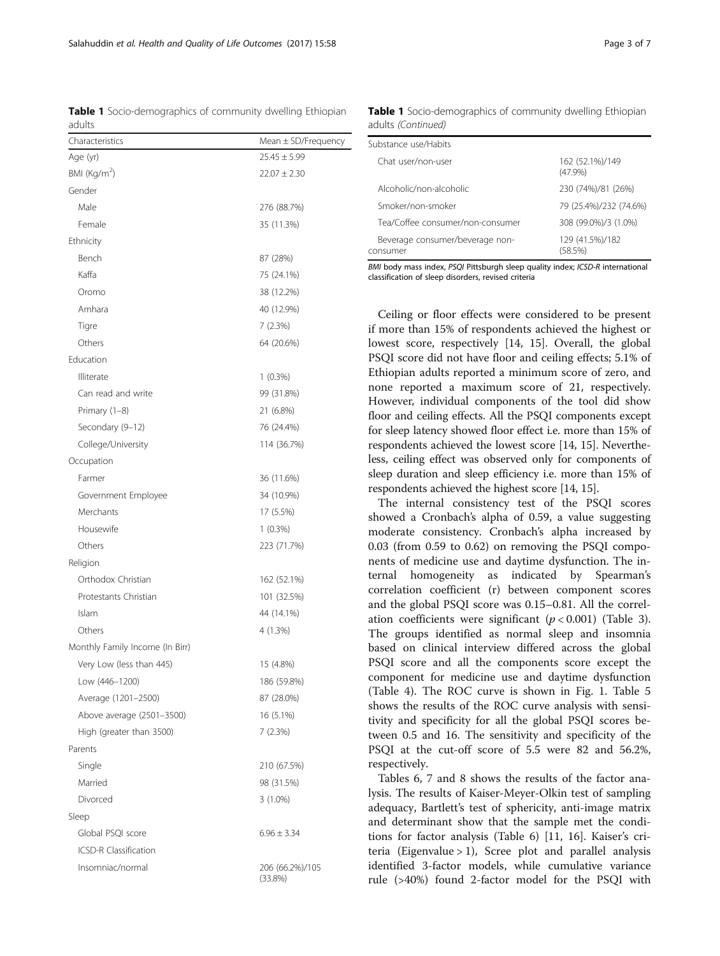Ceiling or floor effects were considered to be present if more than 15% of respondents achieved the highest or

BMI body mass index, PSQI Pittsburgh sleep quality index; ICSD-R international

classification of sleep disorders, revised criteria

lowest score, respectively [[14, 15\]](#page-6-0). Overall, the global PSQI score did not have floor and ceiling effects; 5.1% of Ethiopian adults reported a minimum score of zero, and none reported a maximum score of 21, respectively. However, individual components of the tool did show floor and ceiling effects. All the PSQI components except for sleep latency showed floor effect i.e. more than 15% of respondents achieved the lowest score [[14](#page-6-0), [15](#page-6-0)]. Nevertheless, ceiling effect was observed only for components of sleep duration and sleep efficiency i.e. more than 15% of respondents achieved the highest score [[14](#page-6-0), [15\]](#page-6-0).

The internal consistency test of the PSQI scores showed a Cronbach's alpha of 0.59, a value suggesting moderate consistency. Cronbach's alpha increased by 0.03 (from 0.59 to 0.62) on removing the PSQI components of medicine use and daytime dysfunction. The internal homogeneity as indicated by Spearman's correlation coefficient (r) between component scores and the global PSQI score was 0.15–0.81. All the correlation coefficients were significant  $(p < 0.001)$  (Table [3](#page-3-0)). The groups identified as normal sleep and insomnia based on clinical interview differed across the global PSQI score and all the components score except the component for medicine use and daytime dysfunction (Table [4\)](#page-3-0). The ROC curve is shown in Fig. [1](#page-4-0). Table [5](#page-4-0) shows the results of the ROC curve analysis with sensitivity and specificity for all the global PSQI scores between 0.5 and 16. The sensitivity and specificity of the PSQI at the cut-off score of 5.5 were 82 and 56.2%, respectively.

Tables [6](#page-4-0), [7](#page-5-0) and [8](#page-5-0) shows the results of the factor analysis. The results of Kaiser-Meyer-Olkin test of sampling adequacy, Bartlett's test of sphericity, anti-image matrix and determinant show that the sample met the conditions for factor analysis (Table [6](#page-4-0)) [[11, 16\]](#page-6-0). Kaiser's criteria (Eigenvalue  $> 1$ ), Scree plot and parallel analysis identified 3-factor models, while cumulative variance rule (>40%) found 2-factor model for the PSQI with

<span id="page-2-0"></span>Table 1 Socio-demographics of community dwelling Ethiopian adults

| Characteristics                 | Mean ± SD/Frequency           |
|---------------------------------|-------------------------------|
| Age (yr)                        | $25.45 \pm 5.99$              |
| BMI ( $\text{Kg/m}^2$ )         | $22.07 \pm 2.30$              |
| Gender                          |                               |
| Male                            | 276 (88.7%)                   |
| Female                          | 35 (11.3%)                    |
| Ethnicity                       |                               |
| Bench                           | 87 (28%)                      |
| Kaffa                           | 75 (24.1%)                    |
| Oromo                           | 38 (12.2%)                    |
| Amhara                          | 40 (12.9%)                    |
| Tigre                           | 7 (2.3%)                      |
| Others                          | 64 (20.6%)                    |
| Education                       |                               |
| Illiterate                      | $1(0.3\%)$                    |
| Can read and write              | 99 (31.8%)                    |
| Primary (1-8)                   | 21 (6.8%)                     |
| Secondary (9-12)                | 76 (24.4%)                    |
| College/University              | 114 (36.7%)                   |
| Occupation                      |                               |
| Farmer                          | 36 (11.6%)                    |
| Government Employee             | 34 (10.9%)                    |
| Merchants                       | 17 (5.5%)                     |
| Housewife                       | $1(0.3\%)$                    |
| Others                          | 223 (71.7%)                   |
| Religion                        |                               |
| Orthodox Christian              | 162 (52.1%)                   |
| Protestants Christian           | 101 (32.5%)                   |
| Islam                           | 44 (14.1%)                    |
| Others                          | 4 (1.3%)                      |
| Monthly Family Income (In Birr) |                               |
| Very Low (less than 445)        | 15 (4.8%)                     |
| Low (446-1200)                  | 186 (59.8%)                   |
| Average (1201-2500)             | 87 (28.0%)                    |
| Above average (2501-3500)       | 16 (5.1%)                     |
| High (greater than 3500)        | 7 (2.3%)                      |
| Parents                         |                               |
| Single                          | 210 (67.5%)                   |
| Married                         | 98 (31.5%)                    |
| Divorced                        | $3(1.0\%)$                    |
| Sleep                           |                               |
| Global PSQI score               | $6.96 \pm 3.34$               |
| <b>ICSD-R Classification</b>    |                               |
| Insomniac/normal                | 206 (66.2%)/105<br>$(33.8\%)$ |

Table 1 Socio-demographics of community dwelling Ethiopian adults (Continued)

| Substance use/Habits                        |                               |
|---------------------------------------------|-------------------------------|
| Chat user/non-user                          | 162 (52.1%)/149<br>$(47.9\%)$ |
| Alcoholic/non-alcoholic                     | 230 (74%)/81 (26%)            |
| Smoker/non-smoker                           | 79 (25.4%)/232 (74.6%)        |
| Tea/Coffee consumer/non-consumer            | 308 (99.0%)/3 (1.0%)          |
| Beverage consumer/beverage non-<br>consumer | 129 (41.5%)/182<br>(58.5%)    |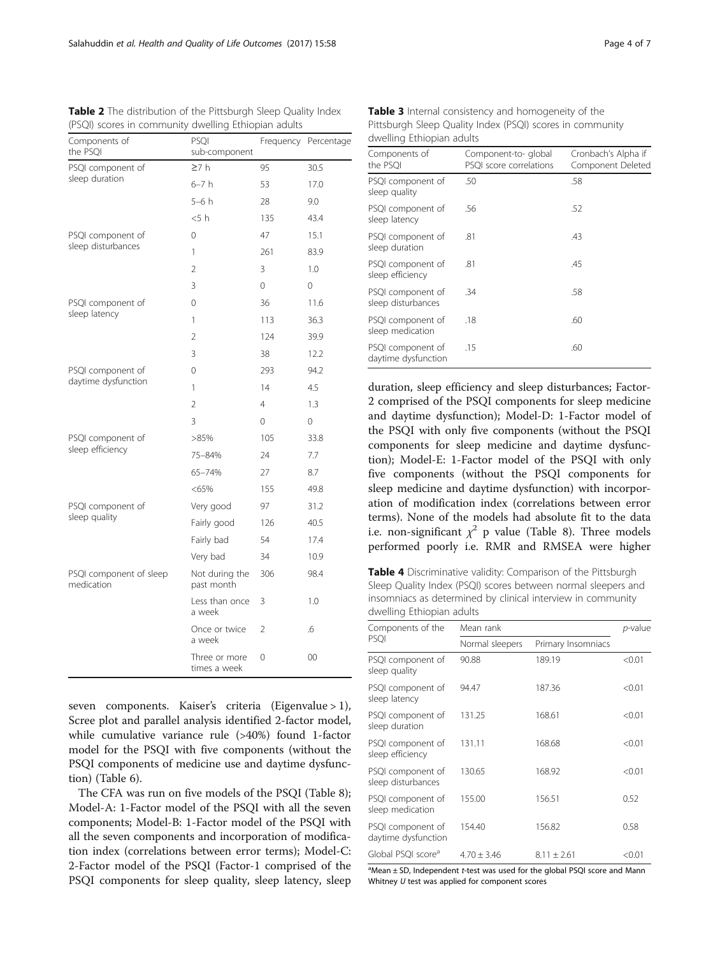| Components of<br>the PSQI             | PSQI<br>sub-component         |                | Frequency Percentage |
|---------------------------------------|-------------------------------|----------------|----------------------|
| PSQI component of                     | 27h                           | 95             | 30.5                 |
| sleep duration                        | $6-7h$                        | 53             | 17.0                 |
|                                       | $5-6h$                        | 28             | 9.0                  |
|                                       | < 5 h                         | 135            | 43.4                 |
| PSQI component of                     | 0                             | 47             | 15.1                 |
| sleep disturbances                    | 1                             | 261            | 83.9                 |
|                                       | $\overline{2}$                | 3              | 1.0                  |
|                                       | 3                             | $\Omega$       | 0                    |
| PSQI component of                     | 0                             | 36             | 11.6                 |
| sleep latency                         | $\mathbf{1}$                  | 113            | 36.3                 |
|                                       | 2                             | 124            | 39.9                 |
|                                       | 3                             | 38             | 12.2                 |
| PSQI component of                     | 0                             | 293            | 94.2                 |
| daytime dysfunction                   | 1                             | 14             | 4.5                  |
|                                       | $\overline{2}$                | 4              | 1.3                  |
|                                       | 3                             | 0              | 0                    |
| PSQI component of                     | >85%                          | 105            | 33.8                 |
| sleep efficiency                      | 75-84%                        | 24             | 7.7                  |
|                                       | 65-74%                        | 27             | 8.7                  |
|                                       | < 65%                         | 155            | 49.8                 |
| PSQI component of                     | Very good                     | 97             | 31.2                 |
| sleep quality                         | Fairly good                   | 126            | 40.5                 |
|                                       | Fairly bad                    | 54             | 17.4                 |
|                                       | Very bad                      | 34             | 10.9                 |
| PSQI component of sleep<br>medication | Not during the<br>past month  | 306            | 98.4                 |
|                                       | Less than once<br>a week      | 3              | 1.0                  |
|                                       | Once or twice<br>a week       | $\overline{2}$ | .6                   |
|                                       | Three or more<br>times a week | 0              | 00                   |

<span id="page-3-0"></span>Table 2 The distribution of the Pittsburgh Sleep Quality Index (PSQI) scores in community dwelling Ethiopian adults

seven components. Kaiser's criteria (Eigenvalue > 1), Scree plot and parallel analysis identified 2-factor model, while cumulative variance rule (>40%) found 1-factor model for the PSQI with five components (without the PSQI components of medicine use and daytime dysfunction) (Table [6](#page-4-0)).

The CFA was run on five models of the PSQI (Table [8](#page-5-0)); Model-A: 1-Factor model of the PSQI with all the seven components; Model-B: 1-Factor model of the PSQI with all the seven components and incorporation of modification index (correlations between error terms); Model-C: 2-Factor model of the PSQI (Factor-1 comprised of the PSQI components for sleep quality, sleep latency, sleep

Table 3 Internal consistency and homogeneity of the Pittsburgh Sleep Quality Index (PSQI) scores in community dwelling Ethiopian adults

| Components of<br>the PSOI                | Component-to- global<br>PSQI score correlations | Cronbach's Alpha if<br>Component Deleted |
|------------------------------------------|-------------------------------------------------|------------------------------------------|
| PSQI component of<br>sleep quality       | .50                                             | .58                                      |
| PSQI component of<br>sleep latency       | .56                                             | .52                                      |
| PSQI component of<br>sleep duration      | .81                                             | .43                                      |
| PSQI component of<br>sleep efficiency    | .81                                             | .45                                      |
| PSQI component of<br>sleep disturbances  | .34                                             | .58                                      |
| PSQI component of<br>sleep medication    | .18                                             | .60                                      |
| PSQI component of<br>daytime dysfunction | .15                                             | .60                                      |

duration, sleep efficiency and sleep disturbances; Factor-2 comprised of the PSQI components for sleep medicine and daytime dysfunction); Model-D: 1-Factor model of the PSQI with only five components (without the PSQI components for sleep medicine and daytime dysfunction); Model-E: 1-Factor model of the PSQI with only five components (without the PSQI components for sleep medicine and daytime dysfunction) with incorporation of modification index (correlations between error terms). None of the models had absolute fit to the data i.e. non-significant  $\chi^2$  p value (Table [8](#page-5-0)). Three models performed poorly i.e. RMR and RMSEA were higher

Table 4 Discriminative validity: Comparison of the Pittsburgh Sleep Quality Index (PSQI) scores between normal sleepers and insomniacs as determined by clinical interview in community dwelling Ethiopian adults

| Components of the                                  | Mean rank       | <i>p</i> -value    |        |  |
|----------------------------------------------------|-----------------|--------------------|--------|--|
| PSOI                                               | Normal sleepers | Primary Insomniacs |        |  |
| PSQI component of<br>sleep quality                 | 90.88           | 189.19             | < 0.01 |  |
| PSQI component of<br>sleep latency                 | 94.47           | 187.36             | < 0.01 |  |
| PSQI component of<br>sleep duration                | 131.25          | 168.61             | < 0.01 |  |
| PSQI component of<br>131.11<br>sleep efficiency    |                 | 168.68             | < 0.01 |  |
| PSQI component of<br>sleep disturbances            | 130.65          | 168.92             | < 0.01 |  |
| PSQI component of<br>sleep medication              | 155.00          | 156.51             | 0.52   |  |
| PSQI component of<br>154.40<br>daytime dysfunction |                 | 156.82             | 0.58   |  |
| Global PSQI score <sup>a</sup>                     | $4.70 + 3.46$   | $8.11 \pm 2.61$    | < 0.01 |  |

<sup>a</sup>Mean ± SD, Independent t-test was used for the global PSQI score and Mann Whitney  $U$  test was applied for component scores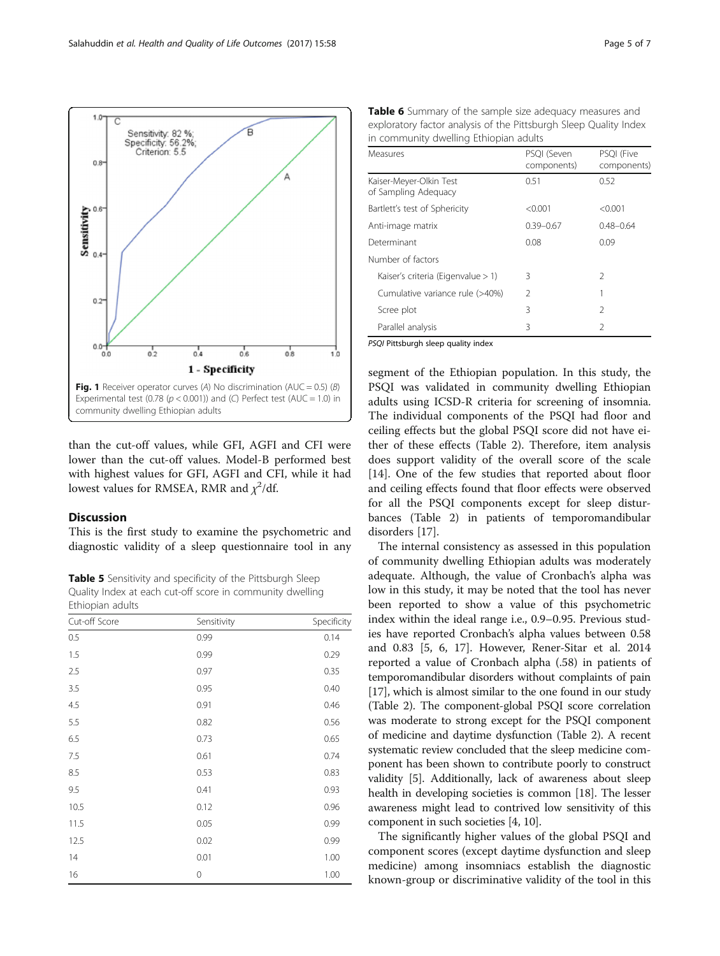<span id="page-4-0"></span>

than the cut-off values, while GFI, AGFI and CFI were lower than the cut-off values. Model-B performed best with highest values for GFI, AGFI and CFI, while it had lowest values for RMSEA, RMR and  $\chi^2$ /df.

# Discussion

This is the first study to examine the psychometric and diagnostic validity of a sleep questionnaire tool in any

Table 5 Sensitivity and specificity of the Pittsburgh Sleep Quality Index at each cut-off score in community dwelling Ethiopian adults

| Cut-off Score | Sensitivity | Specificity |  |  |
|---------------|-------------|-------------|--|--|
| 0.5           | 0.99        | 0.14        |  |  |
| 1.5           | 0.99        | 0.29        |  |  |
| 2.5           | 0.97        | 0.35        |  |  |
| 3.5           | 0.95        | 0.40        |  |  |
| 4.5           | 0.91        | 0.46        |  |  |
| 5.5           | 0.82        | 0.56        |  |  |
| 6.5           | 0.73        | 0.65        |  |  |
| 7.5           | 0.61        | 0.74        |  |  |
| 8.5           | 0.53        | 0.83        |  |  |
| 9.5           | 0.41        | 0.93        |  |  |
| 10.5          | 0.12        | 0.96        |  |  |
| 11.5          | 0.05        | 0.99        |  |  |
| 12.5          | 0.02        | 0.99        |  |  |
| 14            | 0.01        | 1.00        |  |  |
| 16            | $\mathbf 0$ | 1.00        |  |  |

| Table 6 Summary of the sample size adequacy measures and          |
|-------------------------------------------------------------------|
| exploratory factor analysis of the Pittsburgh Sleep Quality Index |
| in community dwelling Ethiopian adults                            |

| Measures                                        | PSQI (Seven<br>components) | PSQI (Five<br>components) |
|-------------------------------------------------|----------------------------|---------------------------|
| Kaiser-Meyer-Olkin Test<br>of Sampling Adequacy | 0.51                       | 0.52                      |
| Bartlett's test of Sphericity                   | < 0.001                    | < 0.001                   |
| Anti-image matrix                               | $0.39 - 0.67$              | $0.48 - 0.64$             |
| Determinant                                     | 0.08                       | 0.09                      |
| Number of factors                               |                            |                           |
| Kaiser's criteria (Eigenvalue > 1)              | 3                          | 2                         |
| Cumulative variance rule (>40%)                 | 2                          |                           |
| Scree plot                                      | 3                          | $\mathcal{P}$             |
| Parallel analysis                               | 3                          | $\mathfrak{D}$            |

PSQI Pittsburgh sleep quality index

segment of the Ethiopian population. In this study, the PSQI was validated in community dwelling Ethiopian adults using ICSD-R criteria for screening of insomnia. The individual components of the PSQI had floor and ceiling effects but the global PSQI score did not have either of these effects (Table [2](#page-3-0)). Therefore, item analysis does support validity of the overall score of the scale [[14\]](#page-6-0). One of the few studies that reported about floor and ceiling effects found that floor effects were observed for all the PSQI components except for sleep disturbances (Table [2\)](#page-3-0) in patients of temporomandibular disorders [\[17](#page-6-0)].

The internal consistency as assessed in this population of community dwelling Ethiopian adults was moderately adequate. Although, the value of Cronbach's alpha was low in this study, it may be noted that the tool has never been reported to show a value of this psychometric index within the ideal range i.e., 0.9–0.95. Previous studies have reported Cronbach's alpha values between 0.58 and 0.83 [[5, 6](#page-6-0), [17\]](#page-6-0). However, Rener-Sitar et al. 2014 reported a value of Cronbach alpha (.58) in patients of temporomandibular disorders without complaints of pain [[17](#page-6-0)], which is almost similar to the one found in our study (Table [2](#page-3-0)). The component-global PSQI score correlation was moderate to strong except for the PSQI component of medicine and daytime dysfunction (Table [2](#page-3-0)). A recent systematic review concluded that the sleep medicine component has been shown to contribute poorly to construct validity [\[5](#page-6-0)]. Additionally, lack of awareness about sleep health in developing societies is common [\[18\]](#page-6-0). The lesser awareness might lead to contrived low sensitivity of this component in such societies [[4](#page-6-0), [10\]](#page-6-0).

The significantly higher values of the global PSQI and component scores (except daytime dysfunction and sleep medicine) among insomniacs establish the diagnostic known-group or discriminative validity of the tool in this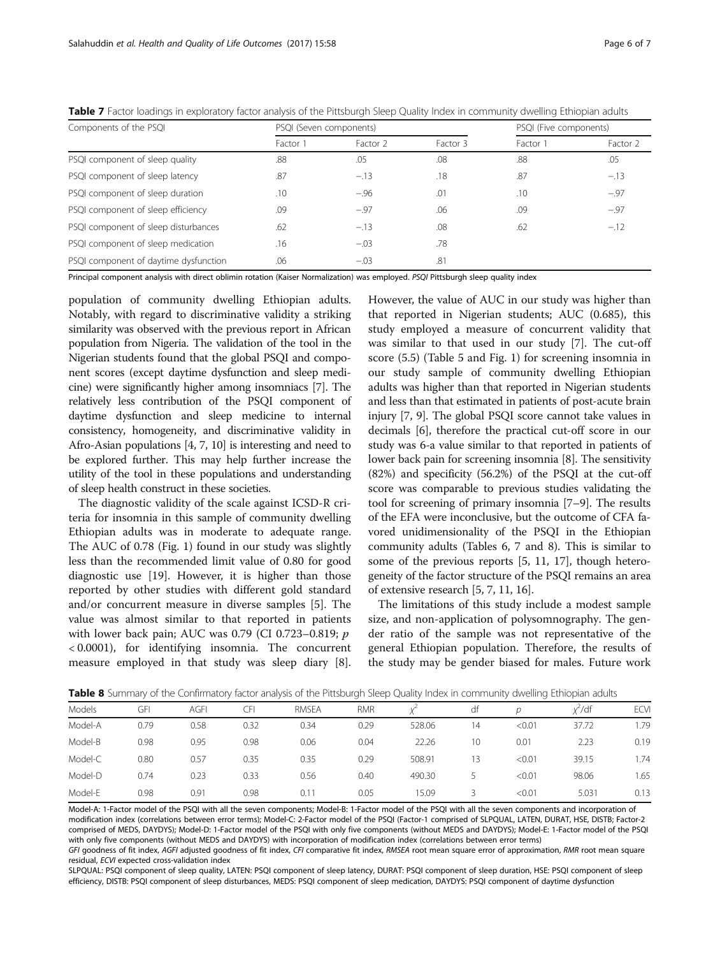| PSQI (Seven components) |                     |          | PSQI (Five components) |          |
|-------------------------|---------------------|----------|------------------------|----------|
| Factor 1                | Factor <sub>2</sub> | Factor 3 | Factor 1               | Factor 2 |
| .88                     | .05                 | .08      | .88                    | .05      |
| .87                     | $-.13$              | .18      | .87                    | $-.13$   |
| .10                     | $-.96$              | .01      | .10                    | $-.97$   |
| .09                     | $-.97$              | .06      | .09                    | $-.97$   |
| .62                     | $-.13$              | .08      | .62                    | $-.12$   |
| .16                     | $-.03$              | .78      |                        |          |
| .06                     | $-.03$              | .81      |                        |          |
|                         |                     |          |                        |          |

<span id="page-5-0"></span>Table 7 Factor loadings in exploratory factor analysis of the Pittsburgh Sleep Quality Index in community dwelling Ethiopian adults

Principal component analysis with direct oblimin rotation (Kaiser Normalization) was employed. PSQI Pittsburgh sleep quality index

population of community dwelling Ethiopian adults. Notably, with regard to discriminative validity a striking similarity was observed with the previous report in African population from Nigeria. The validation of the tool in the Nigerian students found that the global PSQI and component scores (except daytime dysfunction and sleep medicine) were significantly higher among insomniacs [\[7](#page-6-0)]. The relatively less contribution of the PSQI component of daytime dysfunction and sleep medicine to internal consistency, homogeneity, and discriminative validity in Afro-Asian populations [[4](#page-6-0), [7, 10](#page-6-0)] is interesting and need to be explored further. This may help further increase the utility of the tool in these populations and understanding of sleep health construct in these societies.

The diagnostic validity of the scale against ICSD-R criteria for insomnia in this sample of community dwelling Ethiopian adults was in moderate to adequate range. The AUC of 0.78 (Fig. [1](#page-4-0)) found in our study was slightly less than the recommended limit value of 0.80 for good diagnostic use [[19\]](#page-6-0). However, it is higher than those reported by other studies with different gold standard and/or concurrent measure in diverse samples [\[5\]](#page-6-0). The value was almost similar to that reported in patients with lower back pain; AUC was 0.79 (CI 0.723–0.819; p < 0.0001), for identifying insomnia. The concurrent measure employed in that study was sleep diary [\[8](#page-6-0)]. However, the value of AUC in our study was higher than that reported in Nigerian students; AUC (0.685), this study employed a measure of concurrent validity that was similar to that used in our study [[7](#page-6-0)]. The cut-off score (5.5) (Table [5](#page-4-0) and Fig. [1](#page-4-0)) for screening insomnia in our study sample of community dwelling Ethiopian adults was higher than that reported in Nigerian students and less than that estimated in patients of post-acute brain injury [\[7](#page-6-0), [9](#page-6-0)]. The global PSQI score cannot take values in decimals [[6\]](#page-6-0), therefore the practical cut-off score in our study was 6-a value similar to that reported in patients of lower back pain for screening insomnia [[8\]](#page-6-0). The sensitivity (82%) and specificity (56.2%) of the PSQI at the cut-off score was comparable to previous studies validating the tool for screening of primary insomnia [\[7](#page-6-0)–[9\]](#page-6-0). The results of the EFA were inconclusive, but the outcome of CFA favored unidimensionality of the PSQI in the Ethiopian community adults (Tables [6,](#page-4-0) 7 and 8). This is similar to some of the previous reports [[5, 11](#page-6-0), [17\]](#page-6-0), though heterogeneity of the factor structure of the PSQI remains an area of extensive research [[5](#page-6-0), [7, 11](#page-6-0), [16](#page-6-0)].

The limitations of this study include a modest sample size, and non-application of polysomnography. The gender ratio of the sample was not representative of the general Ethiopian population. Therefore, the results of the study may be gender biased for males. Future work

|               | <b>TWHE O</b> JULIARY OF the COMMITTATORY TACLOR analysis OF the FRESDUIGH SICED QUARTY INCOMING IN COMMITTAINING CHILDDIAN QUALIS |      |      |       |            |        |    |        |           |             |
|---------------|------------------------------------------------------------------------------------------------------------------------------------|------|------|-------|------------|--------|----|--------|-----------|-------------|
| <b>Models</b> | GFI                                                                                                                                | AGFI | СFI  | RMSEA | <b>RMR</b> |        | df | D      | $x^2$ /df | <b>ECVI</b> |
| Model-A       | 0.79                                                                                                                               | 0.58 | 0.32 | 0.34  | 0.29       | 528.06 | 14 | < 0.01 | 37.72     | 1.79        |
| Model-B       | 0.98                                                                                                                               | 0.95 | 0.98 | 0.06  | 0.04       | 22.26  | 10 | 0.01   | 2.23      | 0.19        |
| Model-C       | 0.80                                                                                                                               | 0.57 | 0.35 | 0.35  | 0.29       | 508.91 | 13 | < 0.01 | 39.15     | 1.74        |
| Model-D       | 0.74                                                                                                                               | 0.23 | 0.33 | 0.56  | 0.40       | 490.30 |    | < 0.01 | 98.06     | 1.65        |
| Model-E       | 0.98                                                                                                                               | 0.91 | 0.98 | 0.11  | 0.05       | 15.09  |    | < 0.01 | 5.031     | 0.13        |

Table 8 Summary of the Confirmatory factor analysis of the Pittsburgh Sleep Quality Index in community dwelling Ethiopian adults

Model-A: 1-Factor model of the PSQI with all the seven components; Model-B: 1-Factor model of the PSQI with all the seven components and incorporation of modification index (correlations between error terms); Model-C: 2-Factor model of the PSQI (Factor-1 comprised of SLPQUAL, LATEN, DURAT, HSE, DISTB; Factor-2 comprised of MEDS, DAYDYS); Model-D: 1-Factor model of the PSQI with only five components (without MEDS and DAYDYS); Model-E: 1-Factor model of the PSQI with only five components (without MEDS and DAYDYS) with incorporation of modification index (correlations between error terms) GFI goodness of fit index, AGFI adjusted goodness of fit index, CFI comparative fit index, RMSEA root mean square error of approximation, RMR root mean square

residual, ECVI expected cross-validation index SLPQUAL: PSQI component of sleep quality, LATEN: PSQI component of sleep latency, DURAT: PSQI component of sleep duration, HSE: PSQI component of sleep efficiency, DISTB: PSQI component of sleep disturbances, MEDS: PSQI component of sleep medication, DAYDYS: PSQI component of daytime dysfunction